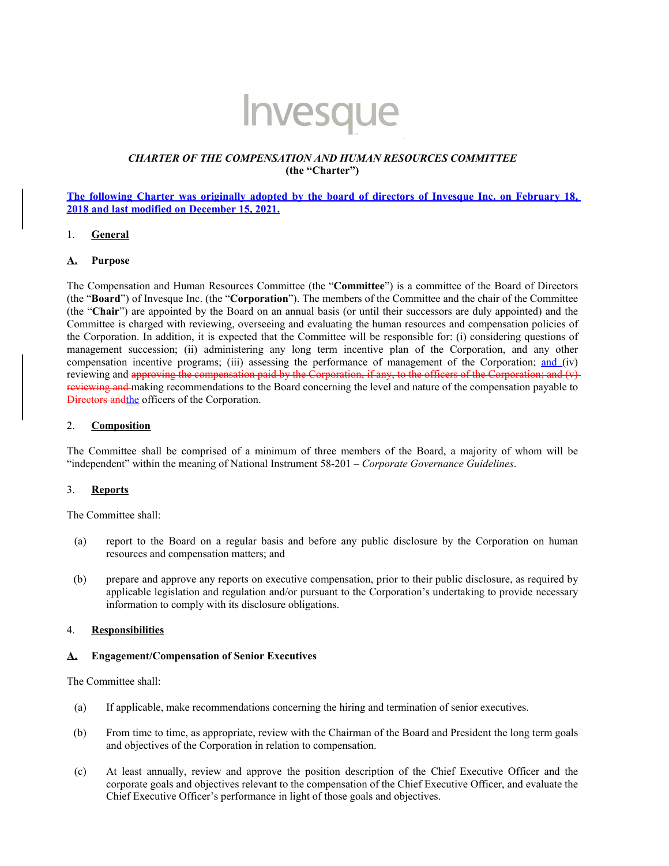

# *CHARTER OF THE COMPENSATION AND HUMAN RESOURCES COMMITTEE* **(the "Charter")**

# **The following Charter was originally adopted by the board of directors of Invesque Inc. on February 18, 2018 and last modified on December 15, 2021.**

# 1. **General**

# **A. Purpose**

The Compensation and Human Resources Committee (the "**Committee**") is a committee of the Board of Directors (the "**Board**") of Invesque Inc. (the "**Corporation**"). The members of the Committee and the chair of the Committee (the "**Chair**") are appointed by the Board on an annual basis (or until their successors are duly appointed) and the Committee is charged with reviewing, overseeing and evaluating the human resources and compensation policies of the Corporation. In addition, it is expected that the Committee will be responsible for: (i) considering questions of management succession; (ii) administering any long term incentive plan of the Corporation, and any other compensation incentive programs; (iii) assessing the performance of management of the Corporation; and (iv) reviewing and approving the compensation paid by the Corporation, if any, to the officers of the Corporation; and  $(v)$ reviewing and making recommendations to the Board concerning the level and nature of the compensation payable to Directors andthe officers of the Corporation.

#### 2. **Composition**

The Committee shall be comprised of a minimum of three members of the Board, a majority of whom will be "independent" within the meaning of National Instrument 58-201 – *Corporate Governance Guidelines*.

# 3. **Reports**

The Committee shall:

- (a) report to the Board on a regular basis and before any public disclosure by the Corporation on human resources and compensation matters; and
- (b) prepare and approve any reports on executive compensation, prior to their public disclosure, as required by applicable legislation and regulation and/or pursuant to the Corporation's undertaking to provide necessary information to comply with its disclosure obligations.

# 4. **Responsibilities**

#### **A. Engagement/Compensation of Senior Executives**

The Committee shall:

- (a) If applicable, make recommendations concerning the hiring and termination of senior executives.
- (b) From time to time, as appropriate, review with the Chairman of the Board and President the long term goals and objectives of the Corporation in relation to compensation.
- (c) At least annually, review and approve the position description of the Chief Executive Officer and the corporate goals and objectives relevant to the compensation of the Chief Executive Officer, and evaluate the Chief Executive Officer's performance in light of those goals and objectives.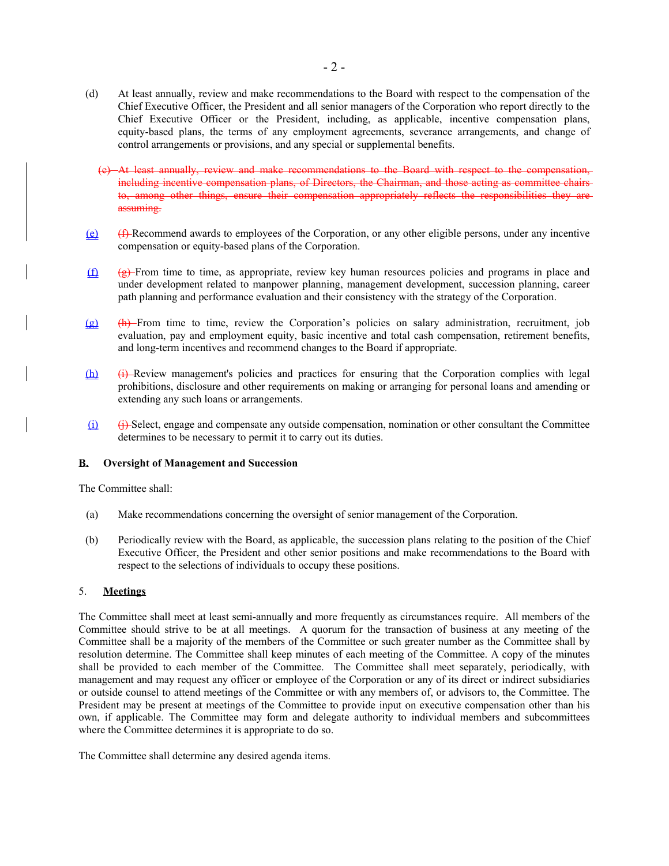- (d) At least annually, review and make recommendations to the Board with respect to the compensation of the Chief Executive Officer, the President and all senior managers of the Corporation who report directly to the Chief Executive Officer or the President, including, as applicable, incentive compensation plans, equity-based plans, the terms of any employment agreements, severance arrangements, and change of control arrangements or provisions, and any special or supplemental benefits.
	- At least annually, review and make recommendations to the Board with respect to the compensation, including incentive compensation plans, of Directors, the Chairman, and those acting as committee chairs to, among other things, ensure their compensation appropriately reflects the responsibilities they are assuming.
- (e) (f) Recommend awards to employees of the Corporation, or any other eligible persons, under any incentive compensation or equity-based plans of the Corporation.
- $(f)$  ( $g$ )-From time to time, as appropriate, review key human resources policies and programs in place and under development related to manpower planning, management development, succession planning, career path planning and performance evaluation and their consistency with the strategy of the Corporation.
- (g) (h) From time to time, review the Corporation's policies on salary administration, recruitment, job evaluation, pay and employment equity, basic incentive and total cash compensation, retirement benefits, and long-term incentives and recommend changes to the Board if appropriate.
- (h) (i) Review management's policies and practices for ensuring that the Corporation complies with legal prohibitions, disclosure and other requirements on making or arranging for personal loans and amending or extending any such loans or arrangements.
- (i) (j) Select, engage and compensate any outside compensation, nomination or other consultant the Committee determines to be necessary to permit it to carry out its duties.

# **B. Oversight of Management and Succession**

The Committee shall:

- (a) Make recommendations concerning the oversight of senior management of the Corporation.
- (b) Periodically review with the Board, as applicable, the succession plans relating to the position of the Chief Executive Officer, the President and other senior positions and make recommendations to the Board with respect to the selections of individuals to occupy these positions.

# 5. **Meetings**

The Committee shall meet at least semi-annually and more frequently as circumstances require. All members of the Committee should strive to be at all meetings. A quorum for the transaction of business at any meeting of the Committee shall be a majority of the members of the Committee or such greater number as the Committee shall by resolution determine. The Committee shall keep minutes of each meeting of the Committee. A copy of the minutes shall be provided to each member of the Committee. The Committee shall meet separately, periodically, with management and may request any officer or employee of the Corporation or any of its direct or indirect subsidiaries or outside counsel to attend meetings of the Committee or with any members of, or advisors to, the Committee. The President may be present at meetings of the Committee to provide input on executive compensation other than his own, if applicable. The Committee may form and delegate authority to individual members and subcommittees where the Committee determines it is appropriate to do so.

The Committee shall determine any desired agenda items.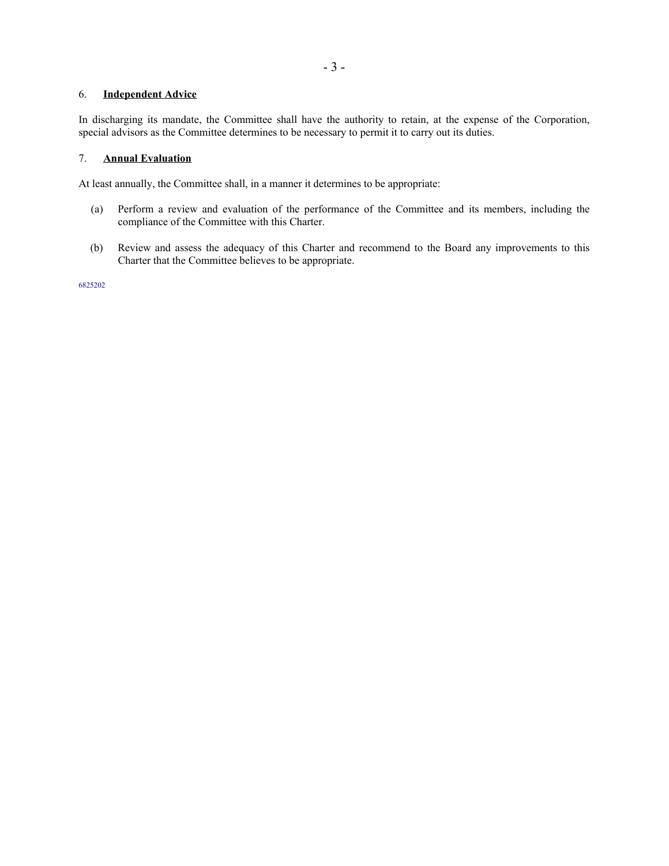# 6. **Independent Advice**

In discharging its mandate, the Committee shall have the authority to retain, at the expense of the Corporation, special advisors as the Committee determines to be necessary to permit it to carry out its duties.

# 7. **Annual Evaluation**

At least annually, the Committee shall, in a manner it determines to be appropriate:

- (a) Perform a review and evaluation of the performance of the Committee and its members, including the compliance of the Committee with this Charter.
- (b) Review and assess the adequacy of this Charter and recommend to the Board any improvements to this Charter that the Committee believes to be appropriate.

6825202